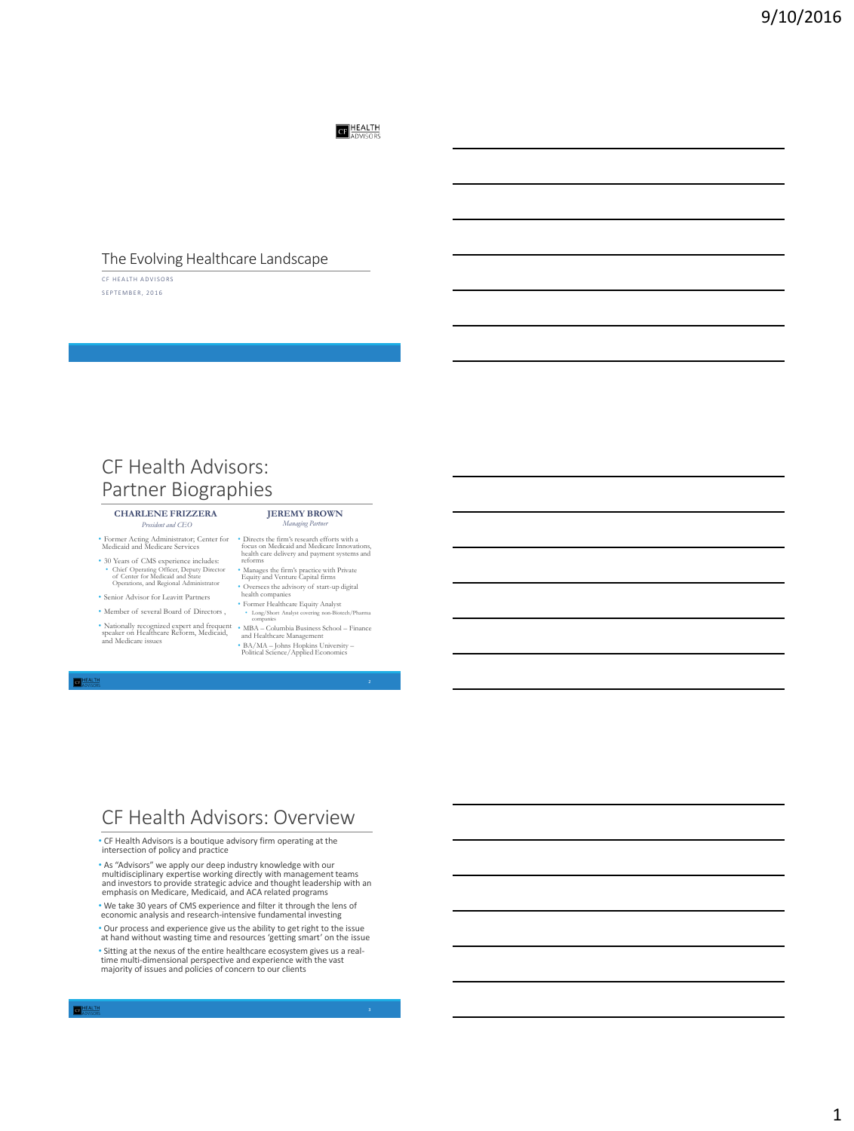**CF** HEALTH

### The Evolving Healthcare Landscape

CF HEALTH ADVISORS SEPTEMBER, 2016

## CF Health Advisors: Partner Biographies

#### **CHARLENE FRIZZERA** *President and CEO*

• Former Acting Administrator; Center for Medicaid and Medicare Services

- 30 Years of CMS experience includes: • Chief Operating Officer, Deputy Director of Center for Medicaid and State Operations, and Regional Administrator
- Senior Advisor for Leavitt Partners
- Member of several Board of Directors ,
- Nationally recognized expert and frequent speaker on Healthcare Reform, Medicaid, and Medicare issues

#### **JEREMY BROWN** *Managing P*

- Directs the firm's research efforts with a focus on Medicaid and Medicare Innovations, health care delivery and payment systems and reforms
- Manages the firm's practice with Private Equity and Venture Capital firms
- Oversees the advisory of start-up digital health companies Former Healthcare Equity Analyst
- Long/Short Analyst covering non-Biotech/Pharma companies
- MBA Columbia Business School Finance and Healthcare Management BA/MA Johns Hopkins University Political Science/Applied Economics

**EL HEALTH** 

### CF Health Advisors: Overview

• CF Health Advisors is a boutique advisory firm operating at the intersection of policy and practice

\* As "Advisors" we apply our deep industry knowledge with our<br>multidisciplinary expertise working directly with management teams<br>and investors to provide strategic advice and thought leadership with an<br>emphasis on Medicare

• We take 30 years of CMS experience and filter it through the lens of economic analysis and research-intensive fundamental investing

• Our process and experience give us the ability to get right to the issue at hand without wasting time and resources 'getting smart' on the issue

• Sitting at the nexus of the entire healthcare ecosystem gives us a real-time multi-dimensional perspective and experience with the vast majority of issues and policies of concern to our clients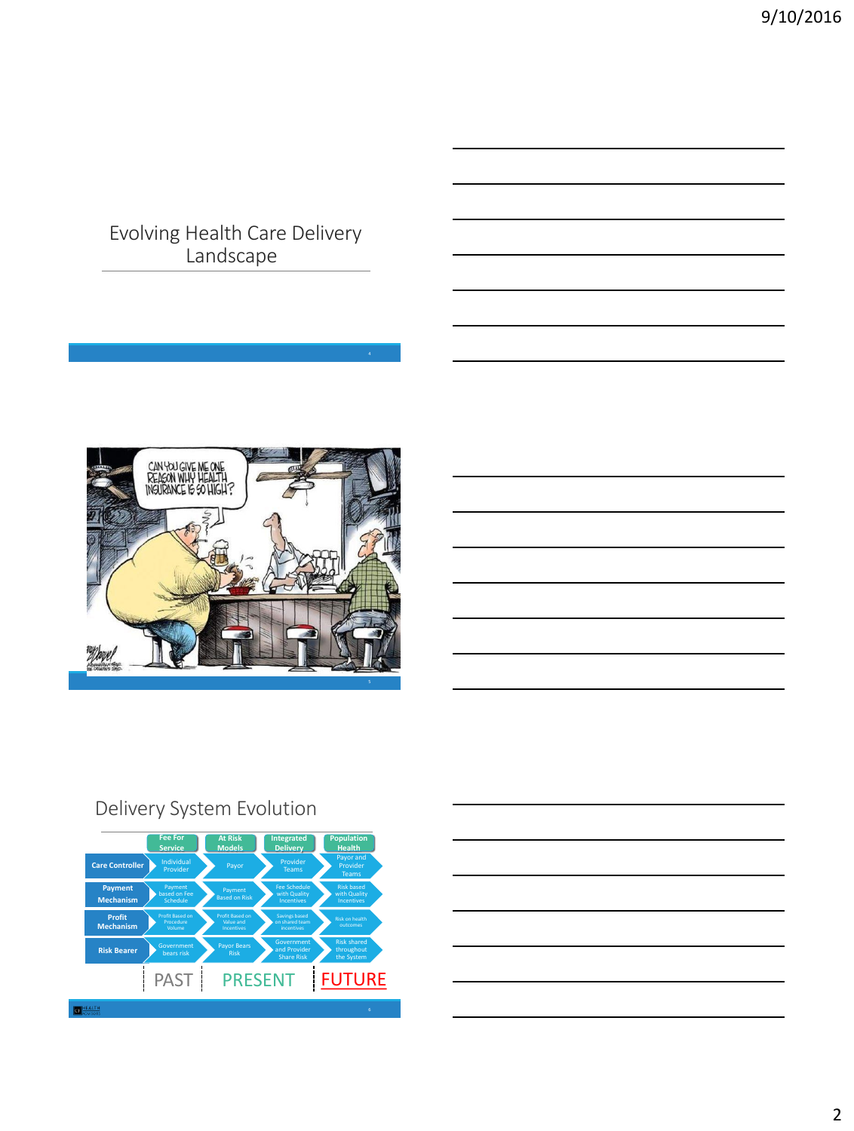Evolving Health Care Delivery Landscape



# Delivery System Evolution

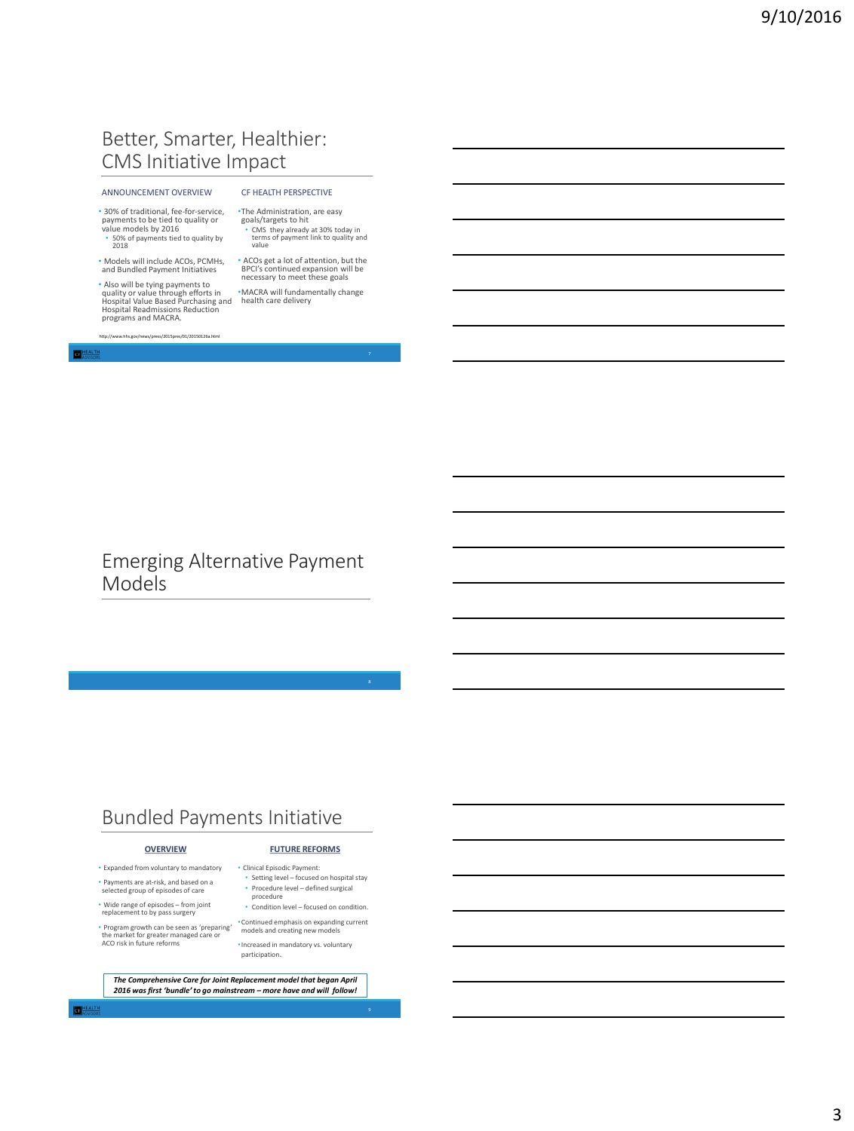## Better, Smarter, Healthier: CMS Initiative Impact

#### ANNOUNCEMENT OVERVIEW

• 30% of traditional, fee-for-service, payments to be tied to quality or value models by 2016 • 50% of payments tied to quality by

2018

• Models will include ACOs, PCMHs, and Bundled Payment Initiatives

• Also will be tying payments to quality or value through efforts in Hospital Value Based Purchasing and Hospital Readmissions Reduction programs and MACRA.

http://www.hhs.gov/news/press/2015pres/01/20150126a.html

#### CF HEALTH PERSPECTIVE

- •The Administration, are easy goals/targets to hit • CMS they already at 30% today in terms of payment link to quality and value
- ACOs get a lot of attention, but the BPCI's continued expansion will be necessary to meet these goals
- •MACRA will fundamentally change health care delivery

**NEALTH** 

Emerging Alternative Payment Models

## Bundled Payments Initiative

#### **OVERVIEW**

• Expanded from voluntary to mandatory • Payments are at-risk, and based on a selected group of episodes of care

• Wide range of episodes – from joint replacement to by pass surgery

• Program growth can be seen as 'preparing' the market for greater managed care or ACO risk in future reforms

**FUTURE REFORMS** • Clinical Episodic Payment:

- Setting level focused on hospital stay • Procedure level – defined surgical procedure
- Condition level focused on condition.
- •Continued emphasis on expanding current models and creating new models
- •Increased in mandatory vs. voluntary participation.

*The Comprehensive Care for Joint Replacement model that began April 2016 was first 'bundle' to go mainstream – more have and will follow!*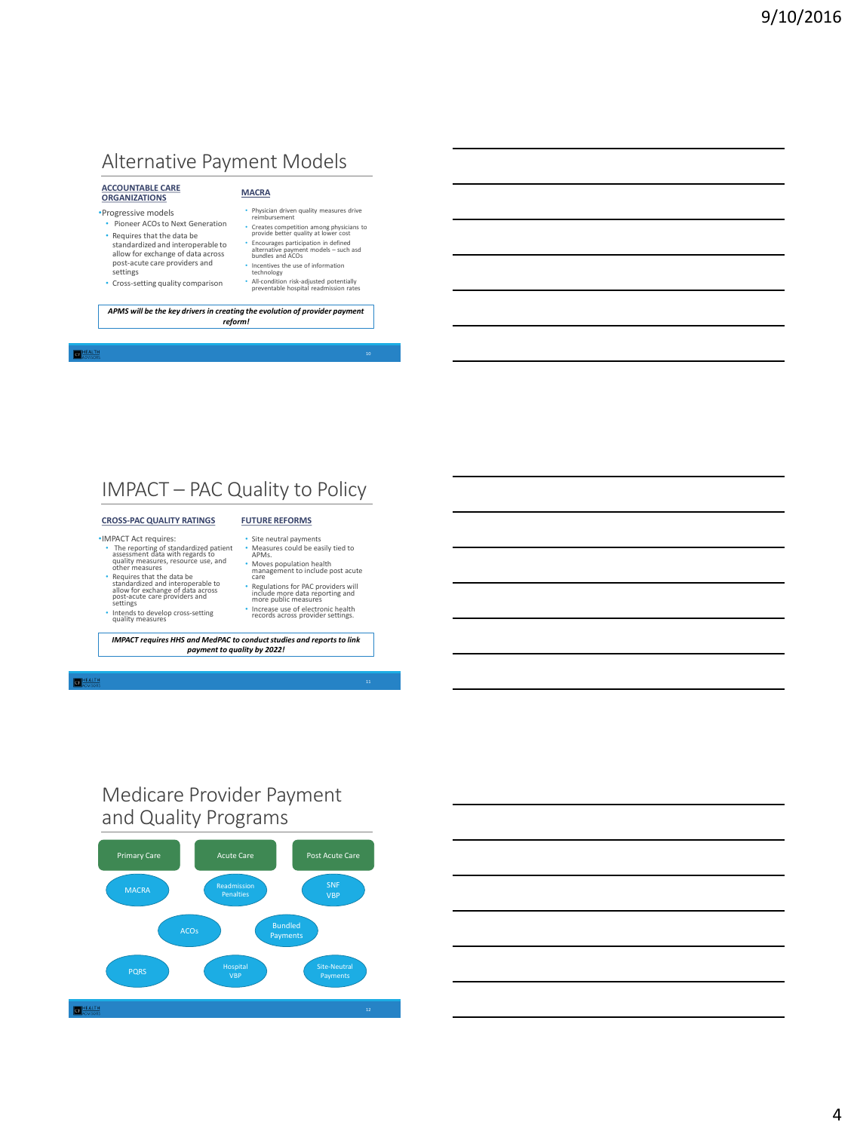# Alternative Payment Models

### **ACCOUNTABLE CARE ORGANIZATIONS**

#### •Progressive models

- Pioneer ACOs to Next Generation • Requires that the data be standardized and interoperable to allow for exchange of data across post-acute care providers and settings
- Cross-setting quality comparison
- Physician driven quality measures drive reimbursement

**MACRA**

- Creates competition among physicians to provide better quality at lower cost
- Encourages participation in defined alternative payment models such asd bundles and ACOs
- 
- Incentives the use of information technology All-condition risk-adjusted potentially preventable hospital readmission rates

*APMS will be the key drivers in creating the evolution of provider payment reform!*

#### **CHEALTH**

## IMPACT – PAC Quality to Policy

#### **CROSS-PAC QUALITY RATINGS**

### •IMPACT Act requires:

- The reporting of standardized patient assessment data with regards to quality measures, resource use, and other measures
- Requires that the data be<br>
standardized and interoperable to<br>
post-acute care providers and<br>
post-acute care providers and<br>
 Intends to develop cross-setting<br>
 Intends to develop cross-setting<br>
quality measures
	-
- Moves population health management to include post acute care • Regulations for PAC providers will include more data reporting and more public measures

• Site neutral payments • Measures could be easily tied to APMs.

**FUTURE REFORMS**

• Increase use of electronic health records across provider settings.

#### *IMPACT requires HHS and MedPAC to conduct studies and reports to link payment to quality by 2022!*

#### **CHEALTH**

## Medicare Provider Payment and Quality Programs



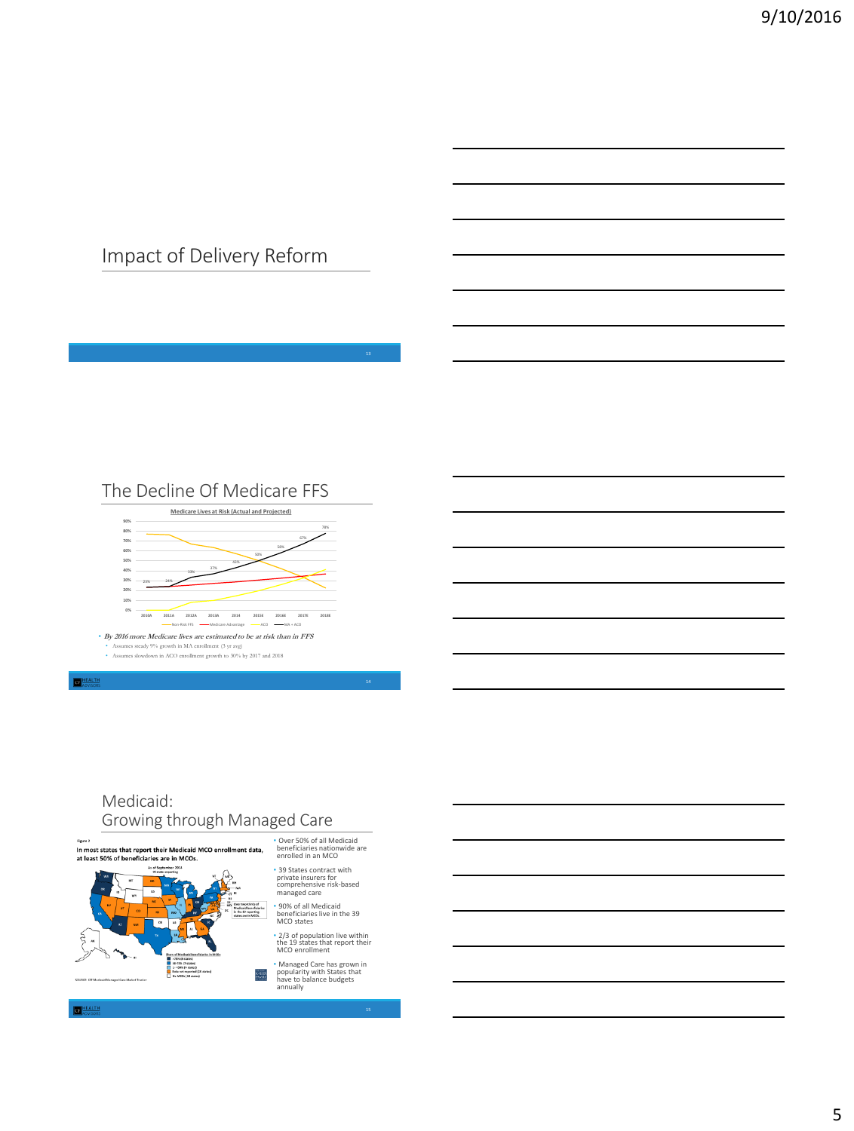## Impact of Delivery Reform





### Medicaid: Growing through Managed Care

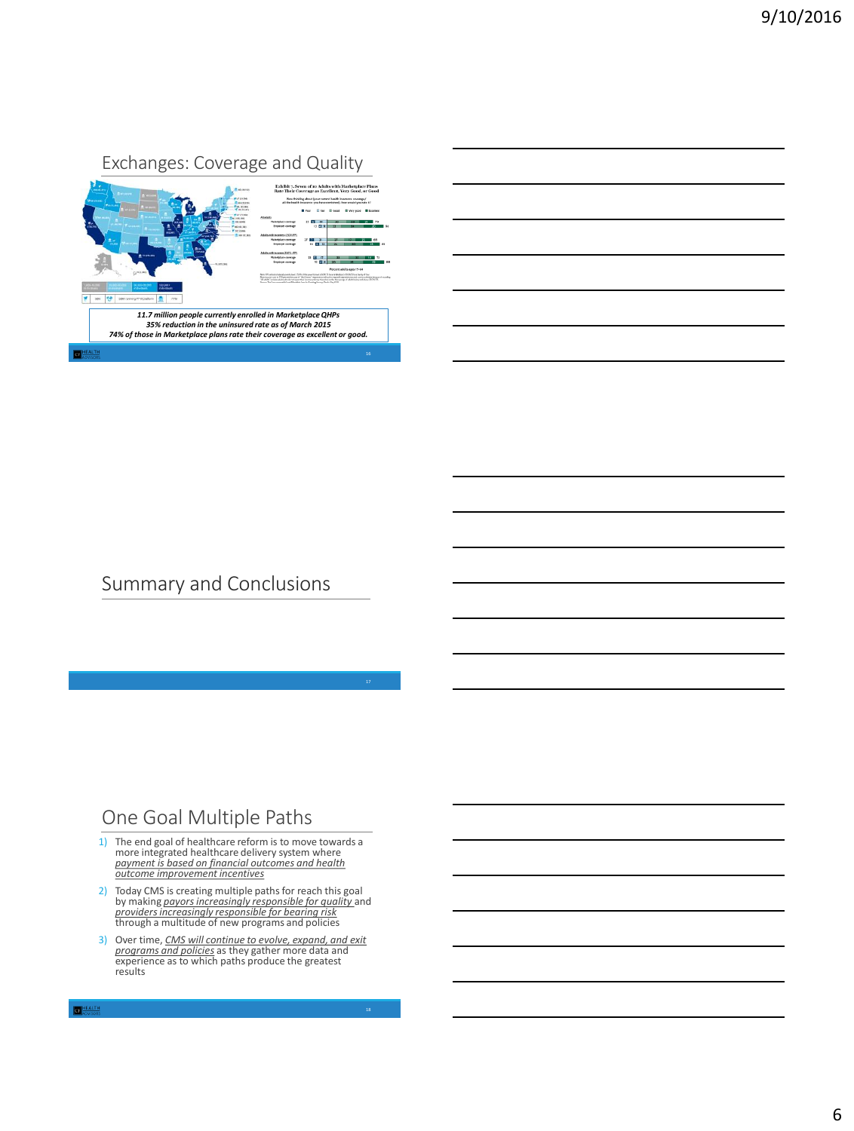

## Summary and Conclusions

### One Goal Multiple Paths

- 1) The end goal of healthcare reform is to move towards a more integrated healthcare delivery system where *payment is based on financial outcomes and health outcome improvement incentives*
- 2) Today CMS is creating multiple paths for reach this goal by making *payors increasingly responsible for quality* and *providers increasingly responsible for bearing risk* through a multitude of new programs and policies
- 3) Over time, *CMS will continue to evolve, expand, and exit programs and policies* as they gather more data and experience as to which paths produce the greatest results